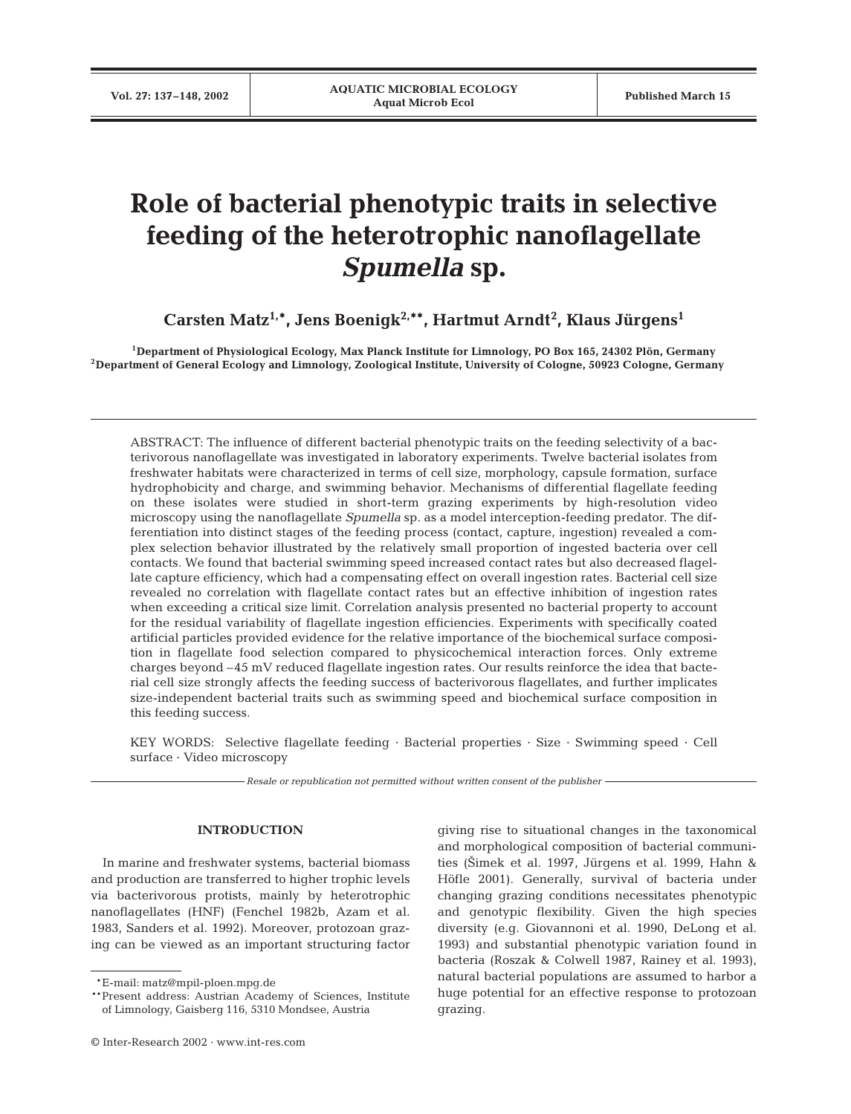# **Role of bacterial phenotypic traits in selective feeding of the heterotrophic nanoflagellate** *Spumella* **sp.**

**Carsten Matz1,\*, Jens Boenigk2,\*\*, Hartmut Arndt2 , Klaus Jürgens1**

**1Department of Physiological Ecology, Max Planck Institute for Limnology, PO Box 165, 24302 Plön, Germany 2Department of General Ecology and Limnology, Zoological Institute, University of Cologne, 50923 Cologne, Germany**

ABSTRACT: The influence of different bacterial phenotypic traits on the feeding selectivity of a bacterivorous nanoflagellate was investigated in laboratory experiments. Twelve bacterial isolates from freshwater habitats were characterized in terms of cell size, morphology, capsule formation, surface hydrophobicity and charge, and swimming behavior. Mechanisms of differential flagellate feeding on these isolates were studied in short-term grazing experiments by high-resolution video microscopy using the nanoflagellate *Spumella* sp*.* as a model interception-feeding predator. The differentiation into distinct stages of the feeding process (contact, capture, ingestion) revealed a complex selection behavior illustrated by the relatively small proportion of ingested bacteria over cell contacts. We found that bacterial swimming speed increased contact rates but also decreased flagellate capture efficiency, which had a compensating effect on overall ingestion rates. Bacterial cell size revealed no correlation with flagellate contact rates but an effective inhibition of ingestion rates when exceeding a critical size limit. Correlation analysis presented no bacterial property to account for the residual variability of flagellate ingestion efficiencies. Experiments with specifically coated artificial particles provided evidence for the relative importance of the biochemical surface composition in flagellate food selection compared to physicochemical interaction forces. Only extreme charges beyond –45 mV reduced flagellate ingestion rates. Our results reinforce the idea that bacterial cell size strongly affects the feeding success of bacterivorous flagellates, and further implicates size-independent bacterial traits such as swimming speed and biochemical surface composition in this feeding success.

KEY WORDS: Selective flagellate feeding · Bacterial properties · Size · Swimming speed · Cell surface · Video microscopy

*Resale or republication not permitted without written consent of the publisher*

## **INTRODUCTION**

In marine and freshwater systems, bacterial biomass and production are transferred to higher trophic levels via bacterivorous protists, mainly by heterotrophic nanoflagellates (HNF) (Fenchel 1982b, Azam et al. 1983, Sanders et al. 1992). Moreover, protozoan grazing can be viewed as an important structuring factor giving rise to situational changes in the taxonomical and morphological composition of bacterial communities (2imek et al. 1997, Jürgens et al. 1999, Hahn & Höfle 2001). Generally, survival of bacteria under changing grazing conditions necessitates phenotypic and genotypic flexibility. Given the high species diversity (e.g. Giovannoni et al. 1990, DeLong et al. 1993) and substantial phenotypic variation found in bacteria (Roszak & Colwell 1987, Rainey et al. 1993), natural bacterial populations are assumed to harbor a huge potential for an effective response to protozoan grazing.

<sup>\*\*</sup>E-mail: matz@mpil-ploen.mpg.de

<sup>\*\*</sup>Present address: Austrian Academy of Sciences, Institute of Limnology, Gaisberg 116, 5310 Mondsee, Austria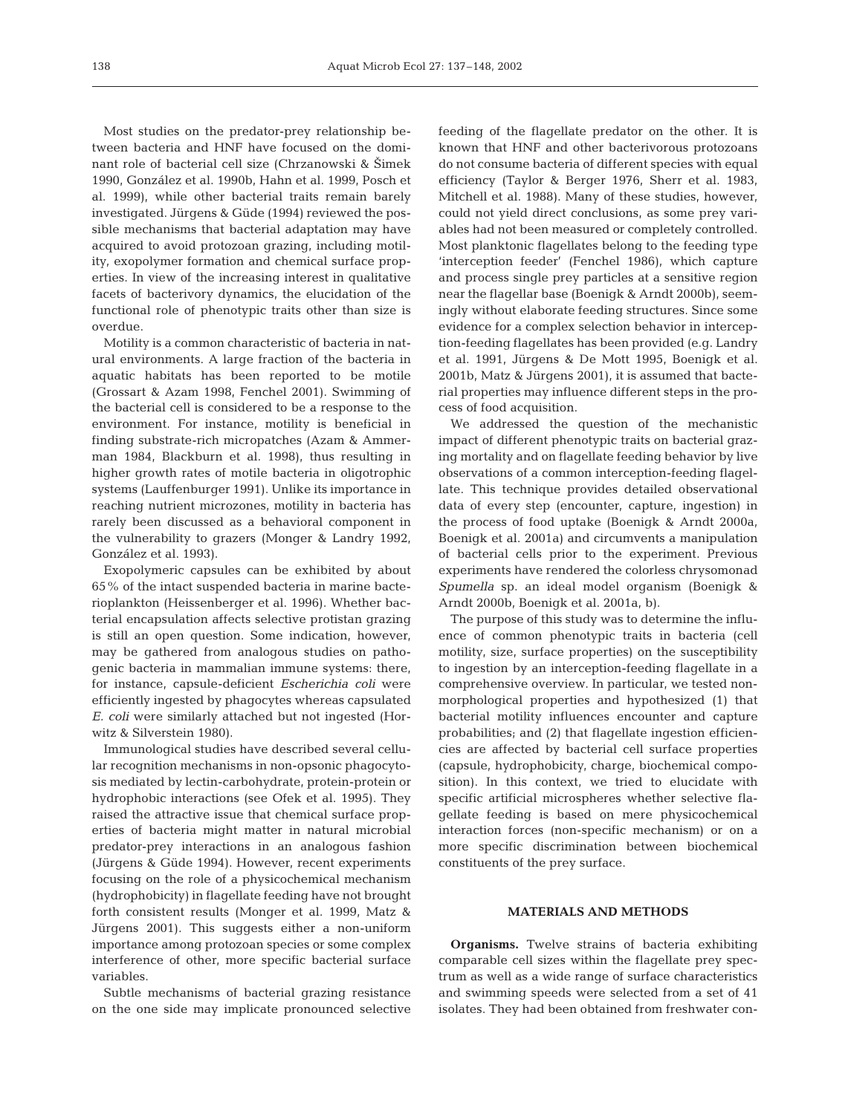Most studies on the predator-prey relationship between bacteria and HNF have focused on the dominant role of bacterial cell size (Chrzanowski & Šimek 1990, González et al. 1990b, Hahn et al. 1999, Posch et al. 1999), while other bacterial traits remain barely investigated. Jürgens & Güde (1994) reviewed the possible mechanisms that bacterial adaptation may have acquired to avoid protozoan grazing, including motility, exopolymer formation and chemical surface properties. In view of the increasing interest in qualitative facets of bacterivory dynamics, the elucidation of the functional role of phenotypic traits other than size is overdue.

Motility is a common characteristic of bacteria in natural environments. A large fraction of the bacteria in aquatic habitats has been reported to be motile (Grossart & Azam 1998, Fenchel 2001). Swimming of the bacterial cell is considered to be a response to the environment. For instance, motility is beneficial in finding substrate-rich micropatches (Azam & Ammerman 1984, Blackburn et al. 1998), thus resulting in higher growth rates of motile bacteria in oligotrophic systems (Lauffenburger 1991). Unlike its importance in reaching nutrient microzones, motility in bacteria has rarely been discussed as a behavioral component in the vulnerability to grazers (Monger & Landry 1992, González et al. 1993).

Exopolymeric capsules can be exhibited by about 65% of the intact suspended bacteria in marine bacterioplankton (Heissenberger et al. 1996). Whether bacterial encapsulation affects selective protistan grazing is still an open question. Some indication, however, may be gathered from analogous studies on pathogenic bacteria in mammalian immune systems: there, for instance, capsule-deficient *Escherichia coli* were efficiently ingested by phagocytes whereas capsulated *E. coli* were similarly attached but not ingested (Horwitz & Silverstein 1980).

Immunological studies have described several cellular recognition mechanisms in non-opsonic phagocytosis mediated by lectin-carbohydrate, protein-protein or hydrophobic interactions (see Ofek et al. 1995). They raised the attractive issue that chemical surface properties of bacteria might matter in natural microbial predator-prey interactions in an analogous fashion (Jürgens & Güde 1994). However, recent experiments focusing on the role of a physicochemical mechanism (hydrophobicity) in flagellate feeding have not brought forth consistent results (Monger et al. 1999, Matz & Jürgens 2001). This suggests either a non-uniform importance among protozoan species or some complex interference of other, more specific bacterial surface variables.

Subtle mechanisms of bacterial grazing resistance on the one side may implicate pronounced selective feeding of the flagellate predator on the other. It is known that HNF and other bacterivorous protozoans do not consume bacteria of different species with equal efficiency (Taylor & Berger 1976, Sherr et al. 1983, Mitchell et al. 1988). Many of these studies, however, could not yield direct conclusions, as some prey variables had not been measured or completely controlled. Most planktonic flagellates belong to the feeding type 'interception feeder' (Fenchel 1986), which capture and process single prey particles at a sensitive region near the flagellar base (Boenigk & Arndt 2000b), seemingly without elaborate feeding structures. Since some evidence for a complex selection behavior in interception-feeding flagellates has been provided (e.g. Landry et al. 1991, Jürgens & De Mott 1995, Boenigk et al. 2001b, Matz & Jürgens 2001), it is assumed that bacterial properties may influence different steps in the process of food acquisition.

We addressed the question of the mechanistic impact of different phenotypic traits on bacterial grazing mortality and on flagellate feeding behavior by live observations of a common interception-feeding flagellate. This technique provides detailed observational data of every step (encounter, capture, ingestion) in the process of food uptake (Boenigk & Arndt 2000a, Boenigk et al. 2001a) and circumvents a manipulation of bacterial cells prior to the experiment. Previous experiments have rendered the colorless chrysomonad *Spumella* sp. an ideal model organism (Boenigk & Arndt 2000b, Boenigk et al. 2001a, b).

The purpose of this study was to determine the influence of common phenotypic traits in bacteria (cell motility, size, surface properties) on the susceptibility to ingestion by an interception-feeding flagellate in a comprehensive overview. In particular, we tested nonmorphological properties and hypothesized (1) that bacterial motility influences encounter and capture probabilities; and (2) that flagellate ingestion efficiencies are affected by bacterial cell surface properties (capsule, hydrophobicity, charge, biochemical composition). In this context, we tried to elucidate with specific artificial microspheres whether selective flagellate feeding is based on mere physicochemical interaction forces (non-specific mechanism) or on a more specific discrimination between biochemical constituents of the prey surface.

## **MATERIALS AND METHODS**

**Organisms.** Twelve strains of bacteria exhibiting comparable cell sizes within the flagellate prey spectrum as well as a wide range of surface characteristics and swimming speeds were selected from a set of 41 isolates. They had been obtained from freshwater con-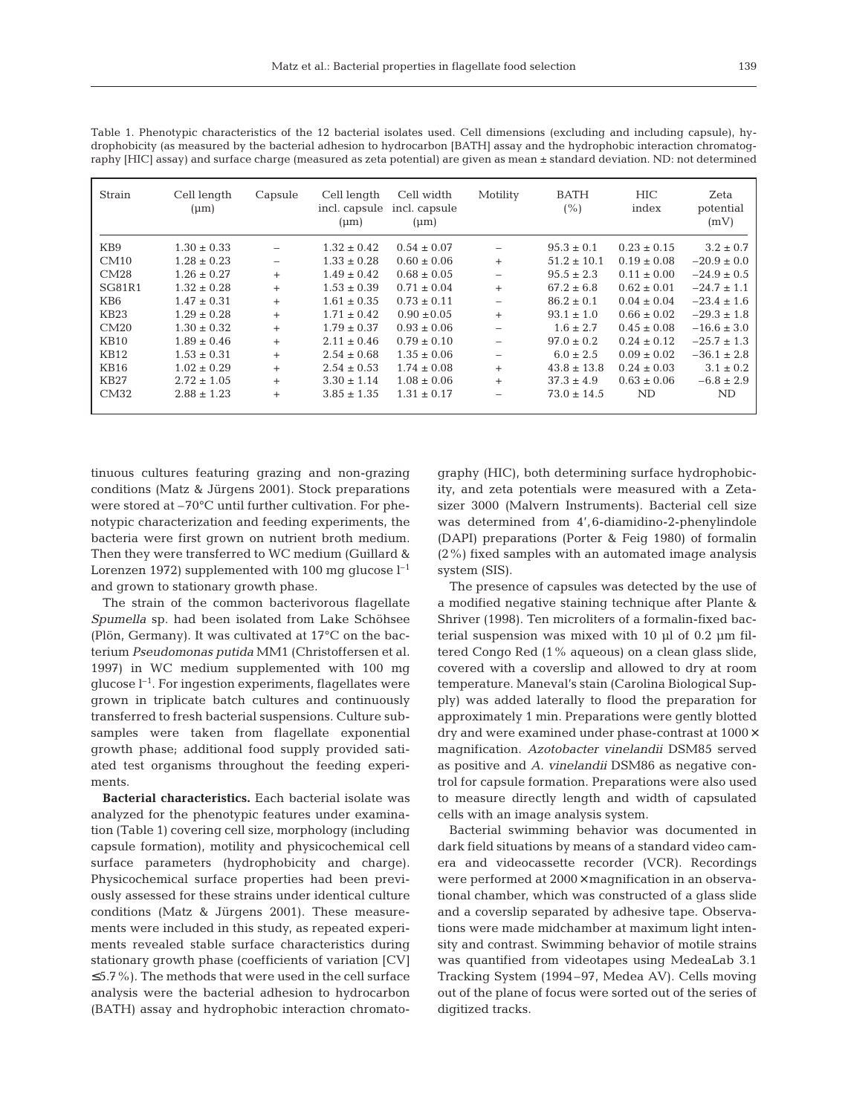| Strain          | Cell length<br>$(\mu m)$ | Capsule | Cell length<br>incl. capsule<br>$(\mu m)$ | Cell width<br>incl. capsule<br>$(\mu m)$ | Motility                 | <b>BATH</b><br>(%) | <b>HIC</b><br>index | Zeta<br>potential<br>(mV) |
|-----------------|--------------------------|---------|-------------------------------------------|------------------------------------------|--------------------------|--------------------|---------------------|---------------------------|
| KB <sub>9</sub> | $1.30 \pm 0.33$          |         | $1.32 \pm 0.42$                           | $0.54 \pm 0.07$                          |                          | $95.3 \pm 0.1$     | $0.23 \pm 0.15$     | $3.2 \pm 0.7$             |
| CM10            | $1.28 \pm 0.23$          |         | $1.33 \pm 0.28$                           | $0.60 \pm 0.06$                          | $+$                      | $51.2 \pm 10.1$    | $0.19 \pm 0.08$     | $-20.9 \pm 0.0$           |
| CM28            | $1.26 \pm 0.27$          | $+$     | $1.49 \pm 0.42$                           | $0.68 \pm 0.05$                          |                          | $95.5 \pm 2.3$     | $0.11 \pm 0.00$     | $-24.9 \pm 0.5$           |
| SG81R1          | $1.32 \pm 0.28$          | $+$     | $1.53 \pm 0.39$                           | $0.71 \pm 0.04$                          | $+$                      | $67.2 \pm 6.8$     | $0.62 \pm 0.01$     | $-24.7 \pm 1.1$           |
| KB6             | $1.47 \pm 0.31$          | $+$     | $1.61 \pm 0.35$                           | $0.73 \pm 0.11$                          | $\overline{\phantom{m}}$ | $86.2 \pm 0.1$     | $0.04 \pm 0.04$     | $-23.4 \pm 1.6$           |
| KB23            | $1.29 \pm 0.28$          | $+$     | $1.71 \pm 0.42$                           | $0.90 \pm 0.05$                          | $+$                      | $93.1 \pm 1.0$     | $0.66 \pm 0.02$     | $-29.3 \pm 1.8$           |
| CM20            | $1.30 \pm 0.32$          | $+$     | $1.79 \pm 0.37$                           | $0.93 \pm 0.06$                          |                          | $1.6 \pm 2.7$      | $0.45 \pm 0.08$     | $-16.6 \pm 3.0$           |
| KB10            | $1.89 \pm 0.46$          | $+$     | $2.11 \pm 0.46$                           | $0.79 \pm 0.10$                          |                          | $97.0 \pm 0.2$     | $0.24 \pm 0.12$     | $-25.7 \pm 1.3$           |
| KB12            | $1.53 \pm 0.31$          | $+$     | $2.54 \pm 0.68$                           | $1.35 \pm 0.06$                          |                          | $6.0 \pm 2.5$      | $0.09 \pm 0.02$     | $-36.1 \pm 2.8$           |
| <b>KB16</b>     | $1.02 \pm 0.29$          | $+$     | $2.54 \pm 0.53$                           | $1.74 \pm 0.08$                          | $+$                      | $43.8 \pm 13.8$    | $0.24 \pm 0.03$     | $3.1 \pm 0.2$             |
| <b>KB27</b>     | $2.72 \pm 1.05$          | $+$     | $3.30 \pm 1.14$                           | $1.08 \pm 0.06$                          | $+$                      | $37.3 \pm 4.9$     | $0.63 \pm 0.06$     | $-6.8 \pm 2.9$            |
| CM32            | $2.88 \pm 1.23$          | $^{+}$  | $3.85 \pm 1.35$                           | $1.31 \pm 0.17$                          |                          | $73.0 \pm 14.5$    | ND                  | ND                        |

Table 1. Phenotypic characteristics of the 12 bacterial isolates used. Cell dimensions (excluding and including capsule), hydrophobicity (as measured by the bacterial adhesion to hydrocarbon [BATH] assay and the hydrophobic interaction chromatography [HIC] assay) and surface charge (measured as zeta potential) are given as mean ± standard deviation. ND: not determined

tinuous cultures featuring grazing and non-grazing conditions (Matz & Jürgens 2001). Stock preparations were stored at –70°C until further cultivation. For phenotypic characterization and feeding experiments, the bacteria were first grown on nutrient broth medium. Then they were transferred to WC medium (Guillard & Lorenzen 1972) supplemented with 100 mg glucose  $l^{-1}$ and grown to stationary growth phase.

The strain of the common bacterivorous flagellate *Spumella* sp. had been isolated from Lake Schöhsee (Plön, Germany). It was cultivated at 17°C on the bacterium *Pseudomonas putida* MM1 (Christoffersen et al. 1997) in WC medium supplemented with 100 mg glucose  $l^{-1}$ . For ingestion experiments, flagellates were grown in triplicate batch cultures and continuously transferred to fresh bacterial suspensions. Culture subsamples were taken from flagellate exponential growth phase; additional food supply provided satiated test organisms throughout the feeding experiments.

**Bacterial characteristics.** Each bacterial isolate was analyzed for the phenotypic features under examination (Table 1) covering cell size, morphology (including capsule formation), motility and physicochemical cell surface parameters (hydrophobicity and charge). Physicochemical surface properties had been previously assessed for these strains under identical culture conditions (Matz & Jürgens 2001). These measurements were included in this study, as repeated experiments revealed stable surface characteristics during stationary growth phase (coefficients of variation [CV] ≤5.7%). The methods that were used in the cell surface analysis were the bacterial adhesion to hydrocarbon (BATH) assay and hydrophobic interaction chromato-

graphy (HIC), both determining surface hydrophobicity, and zeta potentials were measured with a Zetasizer 3000 (Malvern Instruments). Bacterial cell size was determined from 4',6-diamidino-2-phenylindole (DAPI) preparations (Porter & Feig 1980) of formalin (2%) fixed samples with an automated image analysis system (SIS).

The presence of capsules was detected by the use of a modified negative staining technique after Plante & Shriver (1998). Ten microliters of a formalin-fixed bacterial suspension was mixed with 10 µl of 0.2 µm filtered Congo Red (1% aqueous) on a clean glass slide, covered with a coverslip and allowed to dry at room temperature. Maneval's stain (Carolina Biological Supply) was added laterally to flood the preparation for approximately 1 min. Preparations were gently blotted dry and were examined under phase-contrast at 1000× magnification. *Azotobacter vinelandii* DSM85 served as positive and *A. vinelandii* DSM86 as negative control for capsule formation. Preparations were also used to measure directly length and width of capsulated cells with an image analysis system.

Bacterial swimming behavior was documented in dark field situations by means of a standard video camera and videocassette recorder (VCR). Recordings were performed at 2000× magnification in an observational chamber, which was constructed of a glass slide and a coverslip separated by adhesive tape. Observations were made midchamber at maximum light intensity and contrast. Swimming behavior of motile strains was quantified from videotapes using MedeaLab 3.1 Tracking System (1994–97, Medea AV). Cells moving out of the plane of focus were sorted out of the series of digitized tracks.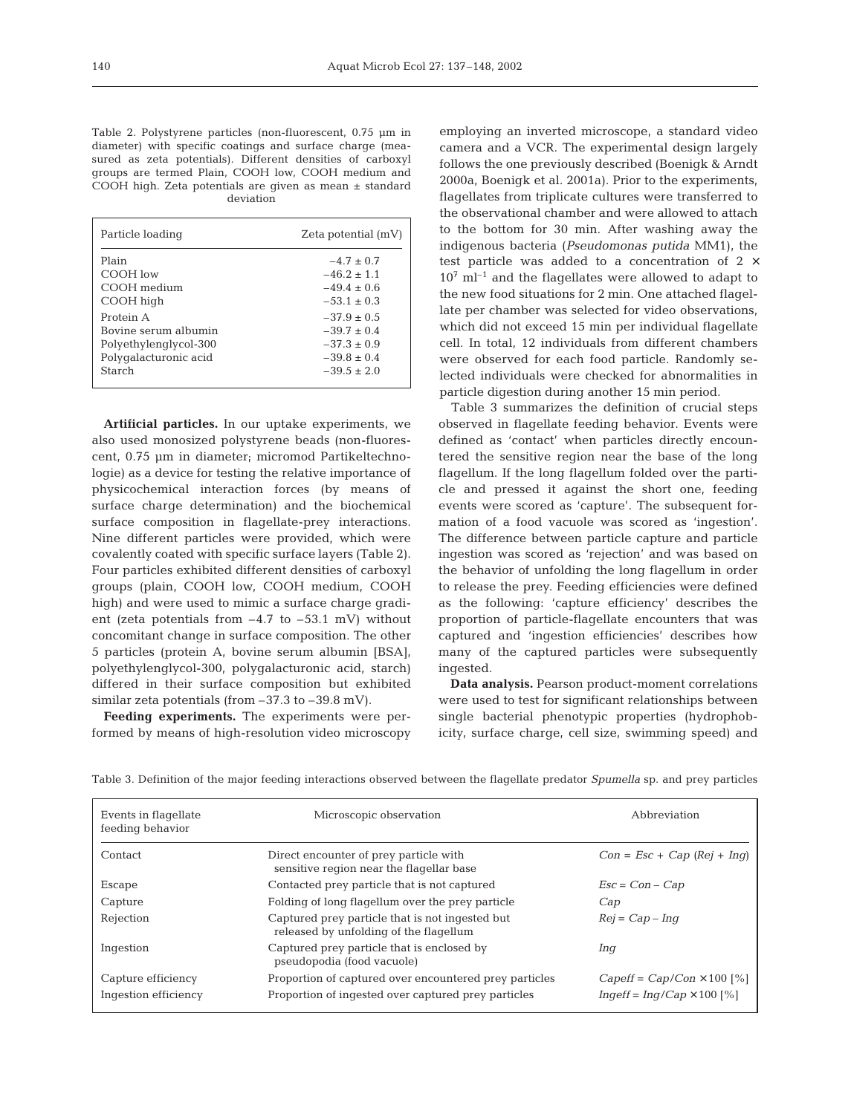Table 2. Polystyrene particles (non-fluorescent, 0.75 µm in diameter) with specific coatings and surface charge (measured as zeta potentials). Different densities of carboxyl groups are termed Plain, COOH low, COOH medium and COOH high. Zeta potentials are given as mean ± standard deviation

| Particle loading      | Zeta potential (mV) |
|-----------------------|---------------------|
| Plain                 | $-4.7 + 0.7$        |
| COOH low              | $-46.2 \pm 1.1$     |
| COOH medium           | $-49.4 + 0.6$       |
| COOH high             | $-53.1 + 0.3$       |
| Protein A             | $-37.9 + 0.5$       |
| Bovine serum albumin  | $-39.7 + 0.4$       |
| Polyethylenglycol-300 | $-37.3 \pm 0.9$     |
| Polygalacturonic acid | $-39.8 \pm 0.4$     |
| Starch                | $-39.5 \pm 2.0$     |
|                       |                     |

**Artificial particles.** In our uptake experiments, we also used monosized polystyrene beads (non-fluorescent, 0.75 µm in diameter; micromod Partikeltechnologie) as a device for testing the relative importance of physicochemical interaction forces (by means of surface charge determination) and the biochemical surface composition in flagellate-prey interactions. Nine different particles were provided, which were covalently coated with specific surface layers (Table 2). Four particles exhibited different densities of carboxyl groups (plain, COOH low, COOH medium, COOH high) and were used to mimic a surface charge gradient (zeta potentials from  $-4.7$  to  $-53.1$  mV) without concomitant change in surface composition. The other 5 particles (protein A, bovine serum albumin [BSA], polyethylenglycol-300, polygalacturonic acid, starch) differed in their surface composition but exhibited similar zeta potentials (from –37.3 to –39.8 mV).

**Feeding experiments.** The experiments were performed by means of high-resolution video microscopy employing an inverted microscope, a standard video camera and a VCR. The experimental design largely follows the one previously described (Boenigk & Arndt 2000a, Boenigk et al. 2001a). Prior to the experiments, flagellates from triplicate cultures were transferred to the observational chamber and were allowed to attach to the bottom for 30 min. After washing away the indigenous bacteria (*Pseudomonas putida* MM1), the test particle was added to a concentration of 2 ×  $10^7$  ml<sup>-1</sup> and the flagellates were allowed to adapt to the new food situations for 2 min. One attached flagellate per chamber was selected for video observations, which did not exceed 15 min per individual flagellate cell. In total, 12 individuals from different chambers were observed for each food particle. Randomly selected individuals were checked for abnormalities in particle digestion during another 15 min period.

Table 3 summarizes the definition of crucial steps observed in flagellate feeding behavior. Events were defined as 'contact' when particles directly encountered the sensitive region near the base of the long flagellum. If the long flagellum folded over the particle and pressed it against the short one, feeding events were scored as 'capture'. The subsequent formation of a food vacuole was scored as 'ingestion'. The difference between particle capture and particle ingestion was scored as 'rejection' and was based on the behavior of unfolding the long flagellum in order to release the prey. Feeding efficiencies were defined as the following: 'capture efficiency' describes the proportion of particle-flagellate encounters that was captured and 'ingestion efficiencies' describes how many of the captured particles were subsequently ingested.

**Data analysis.** Pearson product-moment correlations were used to test for significant relationships between single bacterial phenotypic properties (hydrophobicity, surface charge, cell size, swimming speed) and

| Events in flagellate<br>feeding behavior | Microscopic observation                                                                   | Abbreviation                      |  |  |
|------------------------------------------|-------------------------------------------------------------------------------------------|-----------------------------------|--|--|
| Contact                                  | Direct encounter of prey particle with<br>sensitive region near the flagellar base        | $Con = Esc + Cap (Rej + Inq)$     |  |  |
| Escape                                   | Contacted prey particle that is not captured                                              | $Esc = Con - Cap$                 |  |  |
| Capture                                  | Folding of long flagellum over the prey particle                                          | Cap                               |  |  |
| Rejection                                | Captured prey particle that is not ingested but<br>released by unfolding of the flagellum | $Rej = Cap - Inq$                 |  |  |
| Ingestion                                | Captured prey particle that is enclosed by<br>pseudopodia (food vacuole)                  | Inq                               |  |  |
| Capture efficiency                       | Proportion of captured over encountered prey particles                                    | $Capeff = Cap/Con \times 100$ [%] |  |  |
| Ingestion efficiency                     | Proportion of ingested over captured prey particles                                       | $Inqeff = Inq/Cap \times 100$ [%] |  |  |

Table 3. Definition of the major feeding interactions observed between the flagellate predator *Spumella* sp. and prey particles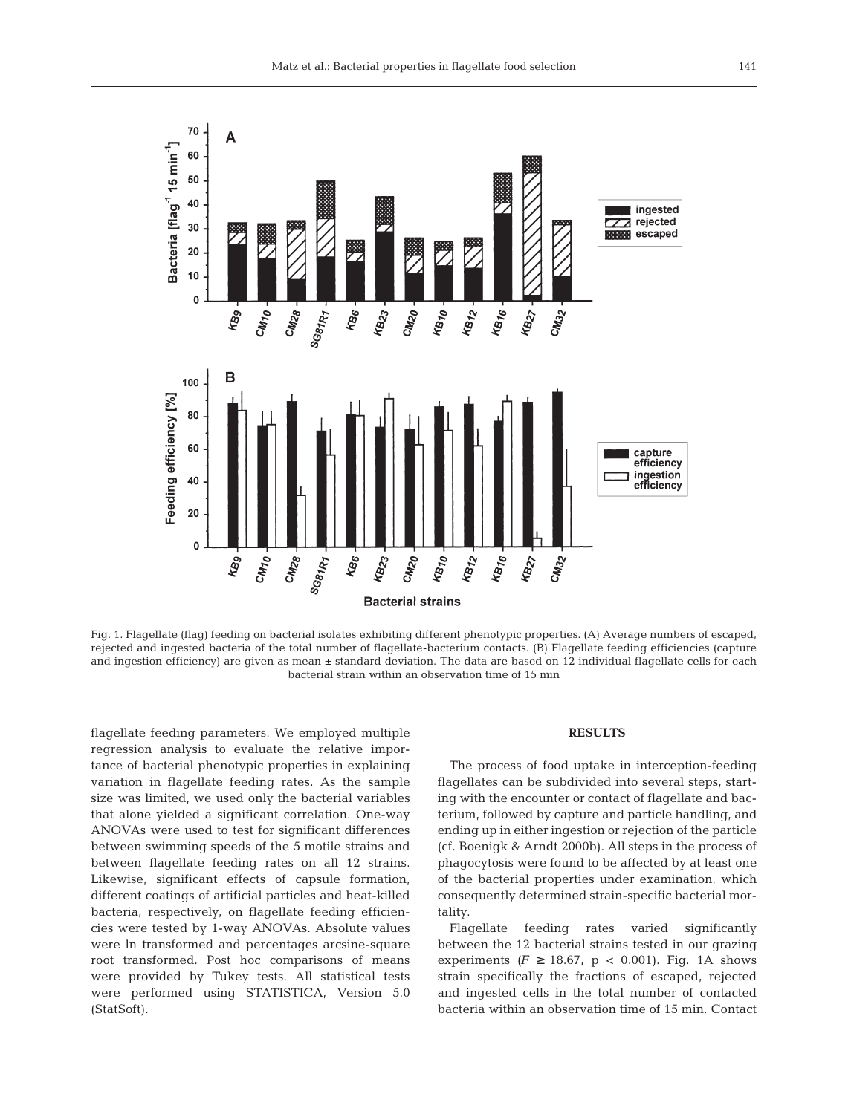

Fig. 1. Flagellate (flag) feeding on bacterial isolates exhibiting different phenotypic properties. (A) Average numbers of escaped, rejected and ingested bacteria of the total number of flagellate-bacterium contacts. (B) Flagellate feeding efficiencies (capture and ingestion efficiency) are given as mean ± standard deviation. The data are based on 12 individual flagellate cells for each bacterial strain within an observation time of 15 min

flagellate feeding parameters. We employed multiple regression analysis to evaluate the relative importance of bacterial phenotypic properties in explaining variation in flagellate feeding rates. As the sample size was limited, we used only the bacterial variables that alone yielded a significant correlation. One-way ANOVAs were used to test for significant differences between swimming speeds of the 5 motile strains and between flagellate feeding rates on all 12 strains. Likewise, significant effects of capsule formation, different coatings of artificial particles and heat-killed bacteria, respectively, on flagellate feeding efficiencies were tested by 1-way ANOVAs. Absolute values were ln transformed and percentages arcsine-square root transformed. Post hoc comparisons of means were provided by Tukey tests. All statistical tests were performed using STATISTICA, Version 5.0 (StatSoft).

## **RESULTS**

The process of food uptake in interception-feeding flagellates can be subdivided into several steps, starting with the encounter or contact of flagellate and bacterium, followed by capture and particle handling, and ending up in either ingestion or rejection of the particle (cf. Boenigk & Arndt 2000b). All steps in the process of phagocytosis were found to be affected by at least one of the bacterial properties under examination, which consequently determined strain-specific bacterial mortality.

Flagellate feeding rates varied significantly between the 12 bacterial strains tested in our grazing experiments  $(F \geq 18.67, p < 0.001)$ . Fig. 1A shows strain specifically the fractions of escaped, rejected and ingested cells in the total number of contacted bacteria within an observation time of 15 min. Contact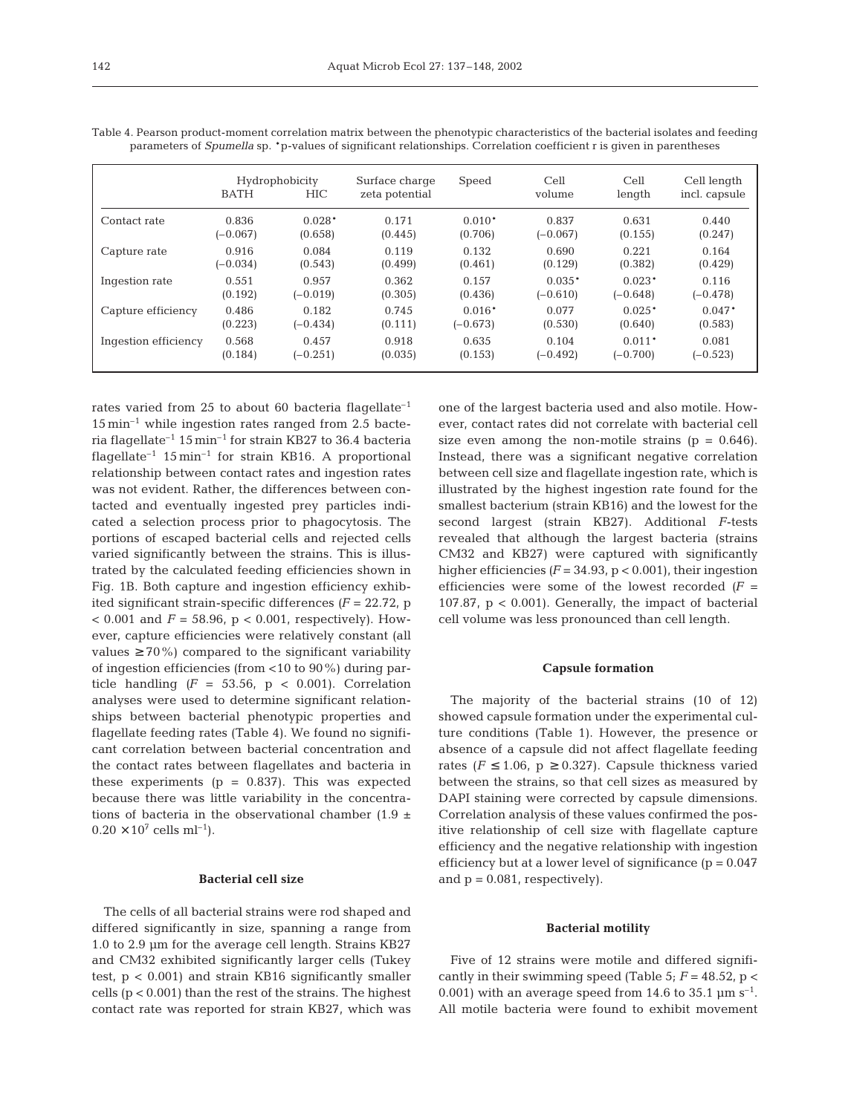|                      | <b>BATH</b> | Hydrophobicity<br><b>HIC</b> | Surface charge<br>zeta potential | Speed      | Cell<br>volume | Cell<br>length | Cell length<br>incl. capsule |
|----------------------|-------------|------------------------------|----------------------------------|------------|----------------|----------------|------------------------------|
| Contact rate         | 0.836       | $0.028*$                     | 0.171                            | $0.010*$   | 0.837          | 0.631          | 0.440                        |
|                      | $(-0.067)$  | (0.658)                      | (0.445)                          | (0.706)    | $(-0.067)$     | (0.155)        | (0.247)                      |
| Capture rate         | 0.916       | 0.084                        | 0.119                            | 0.132      | 0.690          | 0.221          | 0.164                        |
|                      | $(-0.034)$  | (0.543)                      | (0.499)                          | (0.461)    | (0.129)        | (0.382)        | (0.429)                      |
| Ingestion rate       | 0.551       | 0.957                        | 0.362                            | 0.157      | $0.035*$       | $0.023*$       | 0.116                        |
|                      | (0.192)     | $(-0.019)$                   | (0.305)                          | (0.436)    | $(-0.610)$     | $(-0.648)$     | $(-0.478)$                   |
| Capture efficiency   | 0.486       | 0.182                        | 0.745                            | $0.016*$   | 0.077          | $0.025*$       | $0.047*$                     |
|                      | (0.223)     | $(-0.434)$                   | (0.111)                          | $(-0.673)$ | (0.530)        | (0.640)        | (0.583)                      |
| Ingestion efficiency | 0.568       | 0.457                        | 0.918                            | 0.635      | 0.104          | $0.011*$       | 0.081                        |
|                      | (0.184)     | $(-0.251)$                   | (0.035)                          | (0.153)    | $(-0.492)$     | $(-0.700)$     | $(-0.523)$                   |

Table 4. Pearson product-moment correlation matrix between the phenotypic characteristics of the bacterial isolates and feeding parameters of *Spumella* sp. \*p-values of significant relationships. Correlation coefficient r is given in parentheses

rates varied from 25 to about 60 bacteria flagellate<sup>-1</sup>  $15 \text{ min}^{-1}$  while ingestion rates ranged from 2.5 bacteria flagellate<sup>-1</sup> 15 min<sup>-1</sup> for strain KB27 to 36.4 bacteria flagellate<sup>-1</sup>  $15$  min<sup>-1</sup> for strain KB16. A proportional relationship between contact rates and ingestion rates was not evident. Rather, the differences between contacted and eventually ingested prey particles indicated a selection process prior to phagocytosis. The portions of escaped bacterial cells and rejected cells varied significantly between the strains. This is illustrated by the calculated feeding efficiencies shown in Fig. 1B. Both capture and ingestion efficiency exhibited significant strain-specific differences  $(F = 22.72, p$  $< 0.001$  and  $F = 58.96$ ,  $p < 0.001$ , respectively). However, capture efficiencies were relatively constant (all values  $\geq 70\%$ ) compared to the significant variability of ingestion efficiencies (from <10 to 90%) during particle handling  $(F = 53.56, p < 0.001)$ . Correlation analyses were used to determine significant relationships between bacterial phenotypic properties and flagellate feeding rates (Table 4). We found no significant correlation between bacterial concentration and the contact rates between flagellates and bacteria in these experiments  $(p = 0.837)$ . This was expected because there was little variability in the concentrations of bacteria in the observational chamber (1.9  $\pm$  $0.20 \times 10^7$  cells ml<sup>-1</sup>).

## **Bacterial cell size**

The cells of all bacterial strains were rod shaped and differed significantly in size, spanning a range from 1.0 to 2.9 µm for the average cell length. Strains KB27 and CM32 exhibited significantly larger cells (Tukey test, p < 0.001) and strain KB16 significantly smaller cells (p < 0.001) than the rest of the strains. The highest contact rate was reported for strain KB27, which was one of the largest bacteria used and also motile. However, contact rates did not correlate with bacterial cell size even among the non-motile strains  $(p = 0.646)$ . Instead, there was a significant negative correlation between cell size and flagellate ingestion rate, which is illustrated by the highest ingestion rate found for the smallest bacterium (strain KB16) and the lowest for the second largest (strain KB27). Additional *F*-tests revealed that although the largest bacteria (strains CM32 and KB27) were captured with significantly higher efficiencies  $(F = 34.93, p < 0.001)$ , their ingestion efficiencies were some of the lowest recorded  $(F =$ 107.87,  $p < 0.001$ ). Generally, the impact of bacterial cell volume was less pronounced than cell length.

## **Capsule formation**

The majority of the bacterial strains (10 of 12) showed capsule formation under the experimental culture conditions (Table 1). However, the presence or absence of a capsule did not affect flagellate feeding rates ( $F \le 1.06$ ,  $p \ge 0.327$ ). Capsule thickness varied between the strains, so that cell sizes as measured by DAPI staining were corrected by capsule dimensions. Correlation analysis of these values confirmed the positive relationship of cell size with flagellate capture efficiency and the negative relationship with ingestion efficiency but at a lower level of significance  $(p = 0.047)$ and  $p = 0.081$ , respectively).

#### **Bacterial motility**

Five of 12 strains were motile and differed significantly in their swimming speed (Table 5;  $F = 48.52$ ,  $p <$ 0.001) with an average speed from 14.6 to 35.1  $\mu$ m s<sup>-1</sup>. All motile bacteria were found to exhibit movement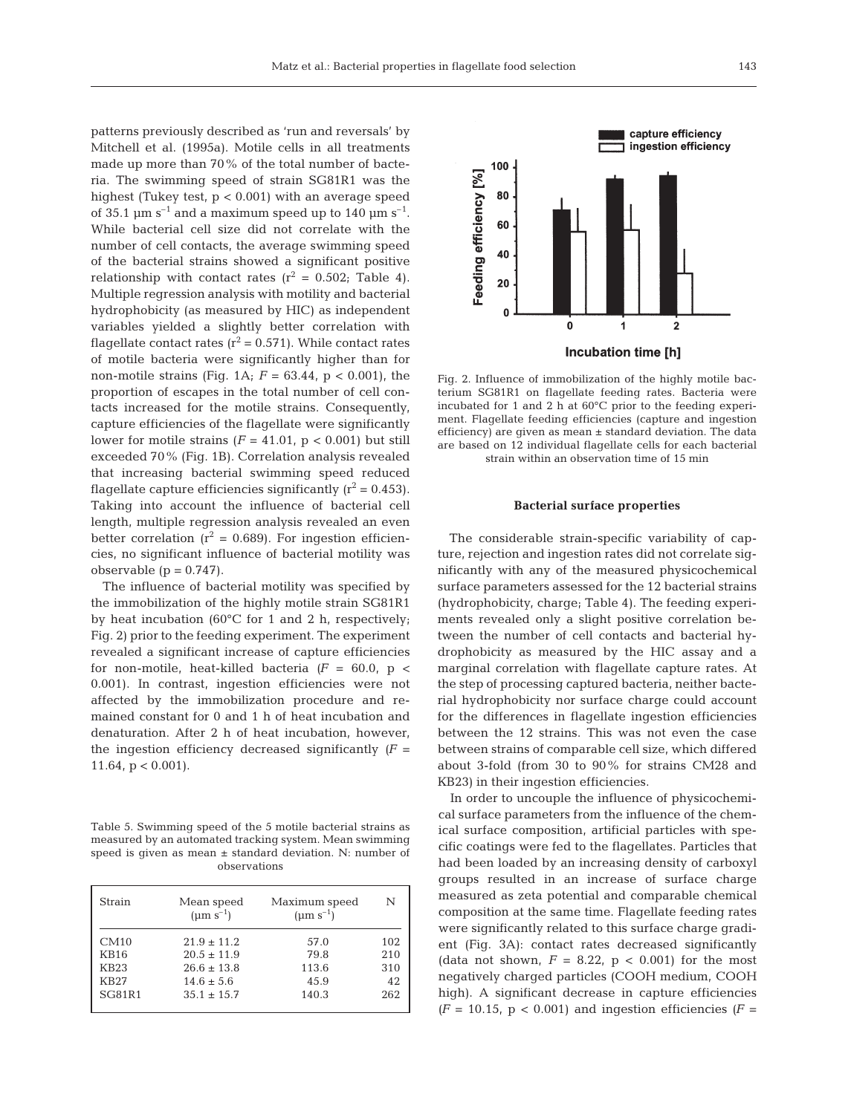patterns previously described as 'run and reversals' by Mitchell et al. (1995a). Motile cells in all treatments made up more than 70% of the total number of bacteria. The swimming speed of strain SG81R1 was the highest (Tukey test,  $p < 0.001$ ) with an average speed of 35.1  $\mu$ m s<sup>-1</sup> and a maximum speed up to 140  $\mu$ m s<sup>-1</sup>. While bacterial cell size did not correlate with the number of cell contacts, the average swimming speed of the bacterial strains showed a significant positive relationship with contact rates  $(r^2 = 0.502;$  Table 4). Multiple regression analysis with motility and bacterial hydrophobicity (as measured by HIC) as independent variables yielded a slightly better correlation with flagellate contact rates  $(r^2 = 0.571)$ . While contact rates of motile bacteria were significantly higher than for non-motile strains (Fig. 1A; *F* = 63.44, p < 0.001), the proportion of escapes in the total number of cell contacts increased for the motile strains. Consequently, capture efficiencies of the flagellate were significantly lower for motile strains  $(F = 41.01, p < 0.001)$  but still exceeded 70% (Fig. 1B). Correlation analysis revealed that increasing bacterial swimming speed reduced flagellate capture efficiencies significantly  $(r^2 = 0.453)$ . Taking into account the influence of bacterial cell length, multiple regression analysis revealed an even better correlation ( $r^2$  = 0.689). For ingestion efficiencies, no significant influence of bacterial motility was observable  $(p = 0.747)$ .

The influence of bacterial motility was specified by the immobilization of the highly motile strain SG81R1 by heat incubation (60°C for 1 and 2 h, respectively; Fig. 2) prior to the feeding experiment. The experiment revealed a significant increase of capture efficiencies for non-motile, heat-killed bacteria  $(F = 60.0, p <$ 0.001). In contrast, ingestion efficiencies were not affected by the immobilization procedure and remained constant for 0 and 1 h of heat incubation and denaturation. After 2 h of heat incubation, however, the ingestion efficiency decreased significantly  $(F =$ 11.64,  $p < 0.001$ ).

Table 5. Swimming speed of the 5 motile bacterial strains as measured by an automated tracking system. Mean swimming speed is given as mean ± standard deviation. N: number of observations

| Strain        | Mean speed<br>$(\mu m s^{-1})$ | Maximum speed<br>$(\mu m s^{-1})$ | N   |
|---------------|--------------------------------|-----------------------------------|-----|
| CM10          | $21.9 \pm 11.2$                | 57.0                              | 102 |
| <b>KB16</b>   | $20.5 \pm 11.9$                | 79.8                              | 210 |
| <b>KB23</b>   | $26.6 \pm 13.8$                | 113.6                             | 310 |
| <b>KB27</b>   | $14.6 \pm 5.6$                 | 45.9                              | 42  |
| <b>SG81R1</b> | $35.1 \pm 15.7$                | 140.3                             | 262 |



Fig. 2. Influence of immobilization of the highly motile bacterium SG81R1 on flagellate feeding rates. Bacteria were incubated for 1 and 2 h at 60°C prior to the feeding experiment. Flagellate feeding efficiencies (capture and ingestion efficiency) are given as mean ± standard deviation. The data are based on 12 individual flagellate cells for each bacterial strain within an observation time of 15 min

## **Bacterial surface properties**

The considerable strain-specific variability of capture, rejection and ingestion rates did not correlate significantly with any of the measured physicochemical surface parameters assessed for the 12 bacterial strains (hydrophobicity, charge; Table 4). The feeding experiments revealed only a slight positive correlation between the number of cell contacts and bacterial hydrophobicity as measured by the HIC assay and a marginal correlation with flagellate capture rates. At the step of processing captured bacteria, neither bacterial hydrophobicity nor surface charge could account for the differences in flagellate ingestion efficiencies between the 12 strains. This was not even the case between strains of comparable cell size, which differed about 3-fold (from 30 to 90% for strains CM28 and KB23) in their ingestion efficiencies.

In order to uncouple the influence of physicochemical surface parameters from the influence of the chemical surface composition, artificial particles with specific coatings were fed to the flagellates. Particles that had been loaded by an increasing density of carboxyl groups resulted in an increase of surface charge measured as zeta potential and comparable chemical composition at the same time. Flagellate feeding rates were significantly related to this surface charge gradient (Fig. 3A): contact rates decreased significantly (data not shown,  $F = 8.22$ ,  $p < 0.001$ ) for the most negatively charged particles (COOH medium, COOH high). A significant decrease in capture efficiencies  $(F = 10.15, p < 0.001)$  and ingestion efficiencies  $(F =$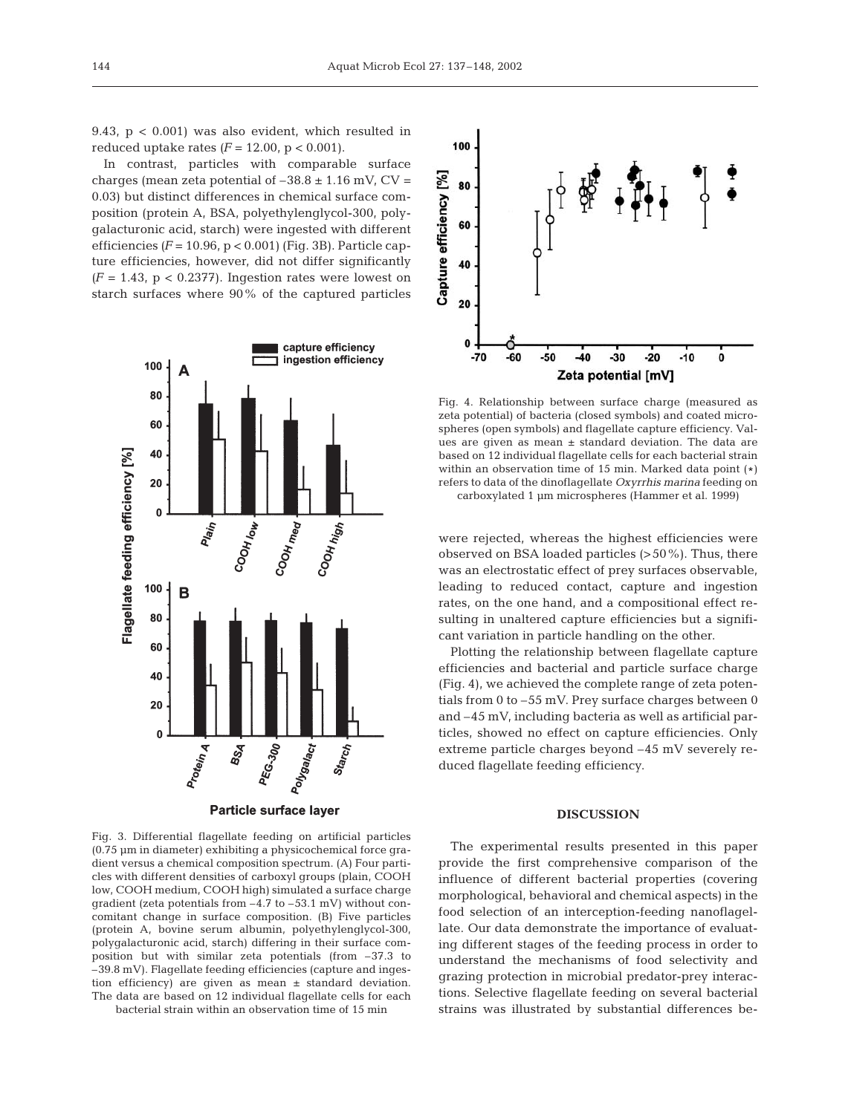9.43, p < 0.001) was also evident, which resulted in reduced uptake rates  $(F = 12.00, p < 0.001)$ .

In contrast, particles with comparable surface charges (mean zeta potential of  $-38.8 \pm 1.16$  mV, CV = 0.03) but distinct differences in chemical surface composition (protein A, BSA, polyethylenglycol-300, polygalacturonic acid, starch) were ingested with different efficiencies *(F* = 10.96, p < 0.001) (Fig. 3B). Particle capture efficiencies, however, did not differ significantly  $(F = 1.43, p < 0.2377)$ . Ingestion rates were lowest on starch surfaces where 90% of the captured particles



Fig. 3. Differential flagellate feeding on artificial particles (0.75 µm in diameter) exhibiting a physicochemical force gradient versus a chemical composition spectrum. (A) Four particles with different densities of carboxyl groups (plain, COOH low, COOH medium, COOH high) simulated a surface charge gradient (zeta potentials from –4.7 to –53.1 mV) without concomitant change in surface composition. (B) Five particles (protein A, bovine serum albumin, polyethylenglycol-300, polygalacturonic acid, starch) differing in their surface composition but with similar zeta potentials (from –37.3 to –39.8 mV). Flagellate feeding efficiencies (capture and ingestion efficiency) are given as mean ± standard deviation. The data are based on 12 individual flagellate cells for each bacterial strain within an observation time of 15 min



Fig. 4. Relationship between surface charge (measured as zeta potential) of bacteria (closed symbols) and coated microspheres (open symbols) and flagellate capture efficiency. Values are given as mean ± standard deviation. The data are based on 12 individual flagellate cells for each bacterial strain within an observation time of 15 min. Marked data point (#) refers to data of the dinoflagellate *Oxyrrhis marina* feeding on carboxylated 1 µm microspheres (Hammer et al. 1999)

were rejected, whereas the highest efficiencies were observed on BSA loaded particles (>50%). Thus, there was an electrostatic effect of prey surfaces observable, leading to reduced contact, capture and ingestion rates, on the one hand, and a compositional effect resulting in unaltered capture efficiencies but a significant variation in particle handling on the other.

Plotting the relationship between flagellate capture efficiencies and bacterial and particle surface charge (Fig. 4), we achieved the complete range of zeta potentials from 0 to –55 mV. Prey surface charges between 0 and –45 mV, including bacteria as well as artificial particles, showed no effect on capture efficiencies. Only extreme particle charges beyond –45 mV severely reduced flagellate feeding efficiency.

## **DISCUSSION**

The experimental results presented in this paper provide the first comprehensive comparison of the influence of different bacterial properties (covering morphological, behavioral and chemical aspects) in the food selection of an interception-feeding nanoflagellate. Our data demonstrate the importance of evaluating different stages of the feeding process in order to understand the mechanisms of food selectivity and grazing protection in microbial predator-prey interactions. Selective flagellate feeding on several bacterial strains was illustrated by substantial differences be-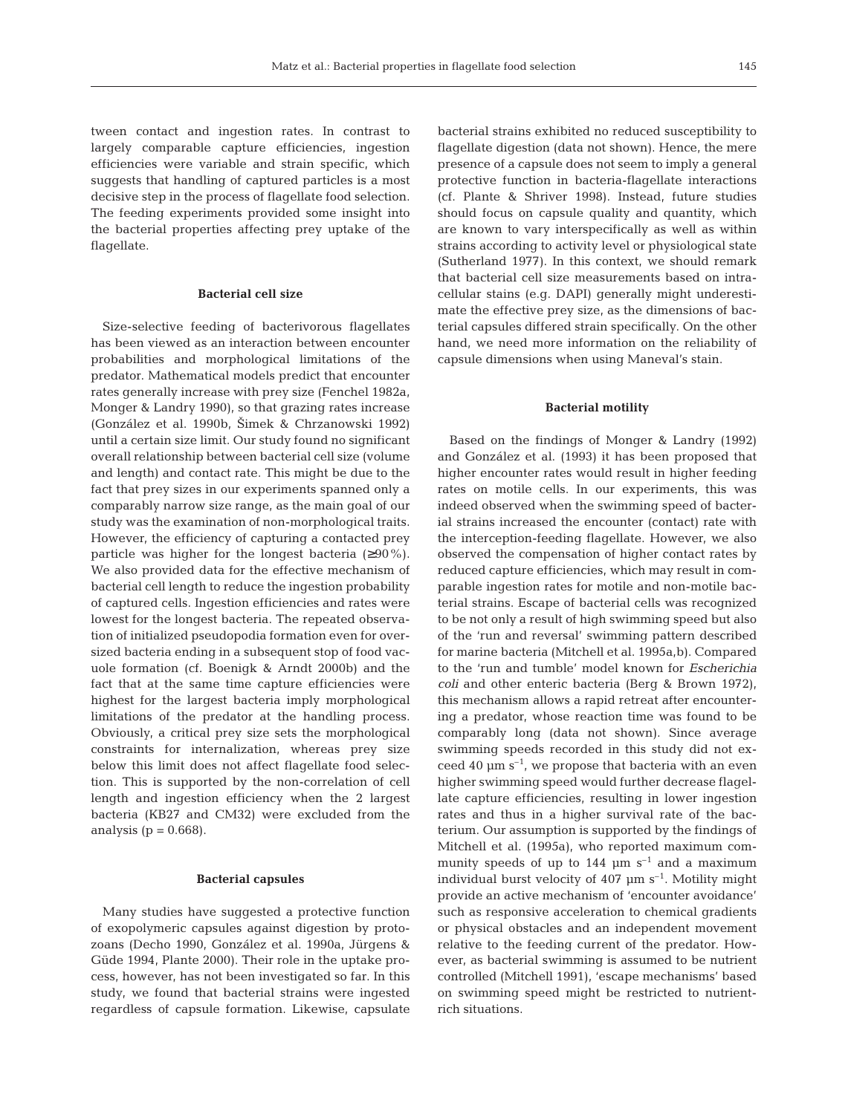tween contact and ingestion rates. In contrast to largely comparable capture efficiencies, ingestion efficiencies were variable and strain specific, which suggests that handling of captured particles is a most decisive step in the process of flagellate food selection. The feeding experiments provided some insight into the bacterial properties affecting prey uptake of the flagellate.

## **Bacterial cell size**

Size-selective feeding of bacterivorous flagellates has been viewed as an interaction between encounter probabilities and morphological limitations of the predator. Mathematical models predict that encounter rates generally increase with prey size (Fenchel 1982a, Monger & Landry 1990), so that grazing rates increase (González et al. 1990b, 2imek & Chrzanowski 1992) until a certain size limit. Our study found no significant overall relationship between bacterial cell size (volume and length) and contact rate. This might be due to the fact that prey sizes in our experiments spanned only a comparably narrow size range, as the main goal of our study was the examination of non-morphological traits. However, the efficiency of capturing a contacted prey particle was higher for the longest bacteria  $(≥90\%).$ We also provided data for the effective mechanism of bacterial cell length to reduce the ingestion probability of captured cells. Ingestion efficiencies and rates were lowest for the longest bacteria. The repeated observation of initialized pseudopodia formation even for oversized bacteria ending in a subsequent stop of food vacuole formation (cf. Boenigk & Arndt 2000b) and the fact that at the same time capture efficiencies were highest for the largest bacteria imply morphological limitations of the predator at the handling process. Obviously, a critical prey size sets the morphological constraints for internalization, whereas prey size below this limit does not affect flagellate food selection. This is supported by the non-correlation of cell length and ingestion efficiency when the 2 largest bacteria (KB27 and CM32) were excluded from the analysis ( $p = 0.668$ ).

## **Bacterial capsules**

Many studies have suggested a protective function of exopolymeric capsules against digestion by protozoans (Decho 1990, González et al. 1990a, Jürgens & Güde 1994, Plante 2000). Their role in the uptake process, however, has not been investigated so far. In this study, we found that bacterial strains were ingested regardless of capsule formation. Likewise, capsulate

bacterial strains exhibited no reduced susceptibility to flagellate digestion (data not shown). Hence, the mere presence of a capsule does not seem to imply a general protective function in bacteria-flagellate interactions (cf. Plante & Shriver 1998). Instead, future studies should focus on capsule quality and quantity, which are known to vary interspecifically as well as within strains according to activity level or physiological state (Sutherland 1977). In this context, we should remark that bacterial cell size measurements based on intracellular stains (e.g. DAPI) generally might underestimate the effective prey size, as the dimensions of bacterial capsules differed strain specifically. On the other hand, we need more information on the reliability of capsule dimensions when using Maneval's stain.

#### **Bacterial motility**

Based on the findings of Monger & Landry (1992) and González et al. (1993) it has been proposed that higher encounter rates would result in higher feeding rates on motile cells. In our experiments, this was indeed observed when the swimming speed of bacterial strains increased the encounter (contact) rate with the interception-feeding flagellate. However, we also observed the compensation of higher contact rates by reduced capture efficiencies, which may result in comparable ingestion rates for motile and non-motile bacterial strains. Escape of bacterial cells was recognized to be not only a result of high swimming speed but also of the 'run and reversal' swimming pattern described for marine bacteria (Mitchell et al. 1995a,b). Compared to the 'run and tumble' model known for *Escherichia coli* and other enteric bacteria (Berg & Brown 1972), this mechanism allows a rapid retreat after encountering a predator, whose reaction time was found to be comparably long (data not shown). Since average swimming speeds recorded in this study did not exceed 40  $\mu$ m s<sup>-1</sup>, we propose that bacteria with an even higher swimming speed would further decrease flagellate capture efficiencies, resulting in lower ingestion rates and thus in a higher survival rate of the bacterium. Our assumption is supported by the findings of Mitchell et al. (1995a), who reported maximum community speeds of up to  $144 \mu m s^{-1}$  and a maximum individual burst velocity of 407  $\mu$ m s<sup>-1</sup>. Motility might provide an active mechanism of 'encounter avoidance' such as responsive acceleration to chemical gradients or physical obstacles and an independent movement relative to the feeding current of the predator. However, as bacterial swimming is assumed to be nutrient controlled (Mitchell 1991), 'escape mechanisms' based on swimming speed might be restricted to nutrientrich situations.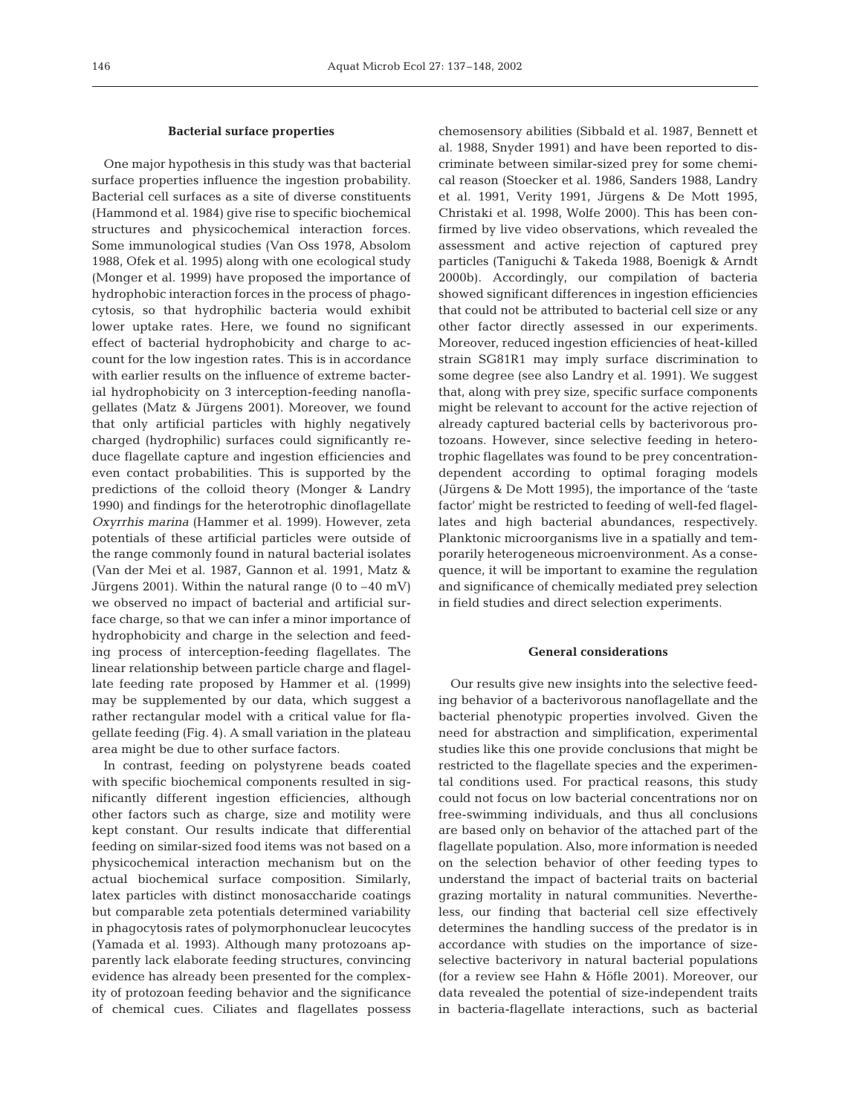#### **Bacterial surface properties**

One major hypothesis in this study was that bacterial surface properties influence the ingestion probability. Bacterial cell surfaces as a site of diverse constituents (Hammond et al. 1984) give rise to specific biochemical structures and physicochemical interaction forces. Some immunological studies (Van Oss 1978, Absolom 1988, Ofek et al. 1995) along with one ecological study (Monger et al. 1999) have proposed the importance of hydrophobic interaction forces in the process of phagocytosis, so that hydrophilic bacteria would exhibit lower uptake rates. Here, we found no significant effect of bacterial hydrophobicity and charge to account for the low ingestion rates. This is in accordance with earlier results on the influence of extreme bacterial hydrophobicity on 3 interception-feeding nanoflagellates (Matz & Jürgens 2001). Moreover, we found that only artificial particles with highly negatively charged (hydrophilic) surfaces could significantly reduce flagellate capture and ingestion efficiencies and even contact probabilities. This is supported by the predictions of the colloid theory (Monger & Landry 1990) and findings for the heterotrophic dinoflagellate *Oxyrrhis marina* (Hammer et al. 1999). However, zeta potentials of these artificial particles were outside of the range commonly found in natural bacterial isolates (Van der Mei et al. 1987, Gannon et al. 1991, Matz & Jürgens 2001). Within the natural range  $(0 \text{ to } -40 \text{ mV})$ we observed no impact of bacterial and artificial surface charge, so that we can infer a minor importance of hydrophobicity and charge in the selection and feeding process of interception-feeding flagellates. The linear relationship between particle charge and flagellate feeding rate proposed by Hammer et al. (1999) may be supplemented by our data, which suggest a rather rectangular model with a critical value for flagellate feeding (Fig. 4). A small variation in the plateau area might be due to other surface factors.

In contrast, feeding on polystyrene beads coated with specific biochemical components resulted in significantly different ingestion efficiencies, although other factors such as charge, size and motility were kept constant. Our results indicate that differential feeding on similar-sized food items was not based on a physicochemical interaction mechanism but on the actual biochemical surface composition. Similarly, latex particles with distinct monosaccharide coatings but comparable zeta potentials determined variability in phagocytosis rates of polymorphonuclear leucocytes (Yamada et al. 1993). Although many protozoans apparently lack elaborate feeding structures, convincing evidence has already been presented for the complexity of protozoan feeding behavior and the significance of chemical cues. Ciliates and flagellates possess

chemosensory abilities (Sibbald et al. 1987, Bennett et al. 1988, Snyder 1991) and have been reported to discriminate between similar-sized prey for some chemical reason (Stoecker et al. 1986, Sanders 1988, Landry et al. 1991, Verity 1991, Jürgens & De Mott 1995, Christaki et al. 1998, Wolfe 2000). This has been confirmed by live video observations, which revealed the assessment and active rejection of captured prey particles (Taniguchi & Takeda 1988, Boenigk & Arndt 2000b). Accordingly, our compilation of bacteria showed significant differences in ingestion efficiencies that could not be attributed to bacterial cell size or any other factor directly assessed in our experiments. Moreover, reduced ingestion efficiencies of heat-killed strain SG81R1 may imply surface discrimination to some degree (see also Landry et al. 1991). We suggest that, along with prey size, specific surface components might be relevant to account for the active rejection of already captured bacterial cells by bacterivorous protozoans. However, since selective feeding in heterotrophic flagellates was found to be prey concentrationdependent according to optimal foraging models (Jürgens & De Mott 1995), the importance of the 'taste factor' might be restricted to feeding of well-fed flagellates and high bacterial abundances, respectively. Planktonic microorganisms live in a spatially and temporarily heterogeneous microenvironment. As a consequence, it will be important to examine the regulation and significance of chemically mediated prey selection in field studies and direct selection experiments.

## **General considerations**

Our results give new insights into the selective feeding behavior of a bacterivorous nanoflagellate and the bacterial phenotypic properties involved. Given the need for abstraction and simplification, experimental studies like this one provide conclusions that might be restricted to the flagellate species and the experimental conditions used. For practical reasons, this study could not focus on low bacterial concentrations nor on free-swimming individuals, and thus all conclusions are based only on behavior of the attached part of the flagellate population. Also, more information is needed on the selection behavior of other feeding types to understand the impact of bacterial traits on bacterial grazing mortality in natural communities. Nevertheless, our finding that bacterial cell size effectively determines the handling success of the predator is in accordance with studies on the importance of sizeselective bacterivory in natural bacterial populations (for a review see Hahn & Höfle 2001). Moreover, our data revealed the potential of size-independent traits in bacteria-flagellate interactions, such as bacterial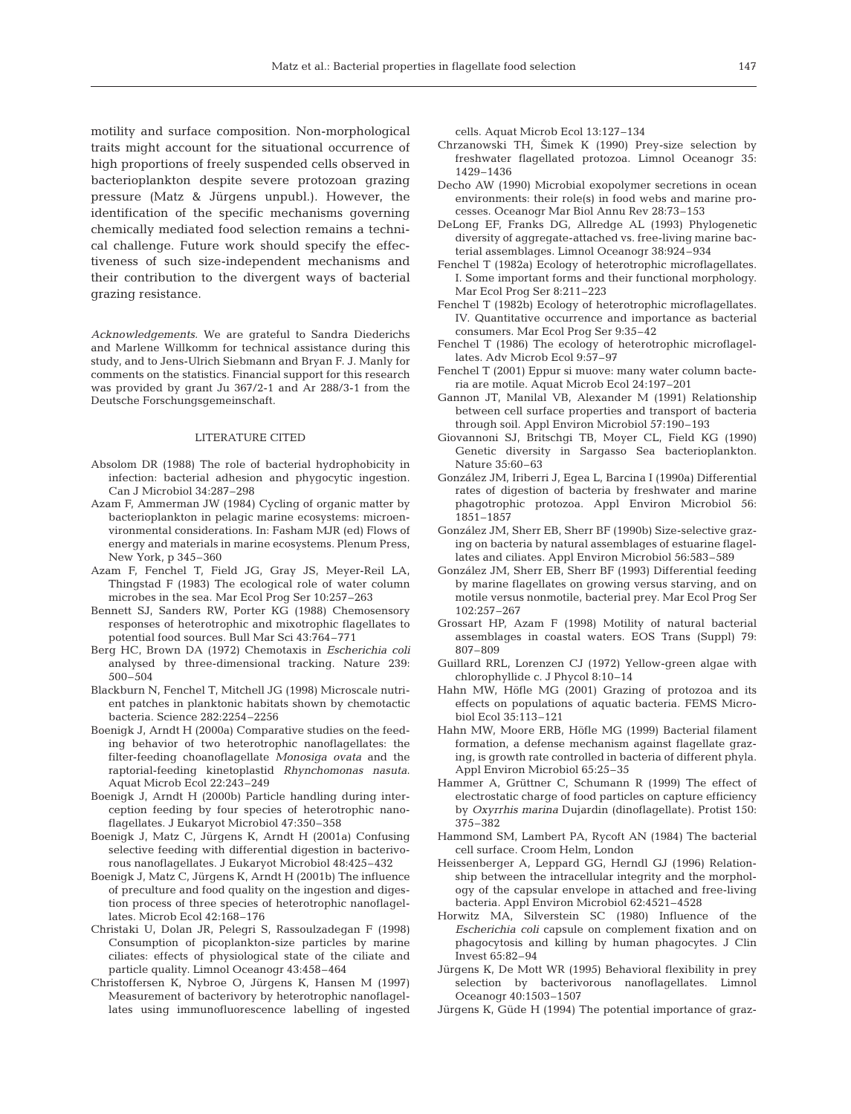motility and surface composition. Non-morphological traits might account for the situational occurrence of high proportions of freely suspended cells observed in bacterioplankton despite severe protozoan grazing pressure (Matz & Jürgens unpubl.). However, the identification of the specific mechanisms governing chemically mediated food selection remains a technical challenge. Future work should specify the effectiveness of such size-independent mechanisms and their contribution to the divergent ways of bacterial grazing resistance.

*Acknowledgements.* We are grateful to Sandra Diederichs and Marlene Willkomm for technical assistance during this study, and to Jens-Ulrich Siebmann and Bryan F. J. Manly for comments on the statistics. Financial support for this research was provided by grant Ju 367/2-1 and Ar 288/3-1 from the Deutsche Forschungsgemeinschaft.

#### LITERATURE CITED

- Absolom DR (1988) The role of bacterial hydrophobicity in infection: bacterial adhesion and phygocytic ingestion. Can J Microbiol 34:287–298
- Azam F, Ammerman JW (1984) Cycling of organic matter by bacterioplankton in pelagic marine ecosystems: microenvironmental considerations. In: Fasham MJR (ed) Flows of energy and materials in marine ecosystems. Plenum Press, New York, p 345–360
- Azam F, Fenchel T, Field JG, Gray JS, Meyer-Reil LA, Thingstad F (1983) The ecological role of water column microbes in the sea. Mar Ecol Prog Ser 10:257–263
- Bennett SJ, Sanders RW, Porter KG (1988) Chemosensory responses of heterotrophic and mixotrophic flagellates to potential food sources. Bull Mar Sci 43:764–771
- Berg HC, Brown DA (1972) Chemotaxis in *Escherichia coli* analysed by three-dimensional tracking. Nature 239: 500–504
- Blackburn N, Fenchel T, Mitchell JG (1998) Microscale nutrient patches in planktonic habitats shown by chemotactic bacteria. Science 282:2254–2256
- Boenigk J, Arndt H (2000a) Comparative studies on the feeding behavior of two heterotrophic nanoflagellates: the filter-feeding choanoflagellate *Monosiga ovata* and the raptorial-feeding kinetoplastid *Rhynchomonas nasuta*. Aquat Microb Ecol 22:243–249
- Boenigk J, Arndt H (2000b) Particle handling during interception feeding by four species of heterotrophic nanoflagellates. J Eukaryot Microbiol 47:350–358
- Boenigk J, Matz C, Jürgens K, Arndt H (2001a) Confusing selective feeding with differential digestion in bacterivorous nanoflagellates. J Eukaryot Microbiol 48:425–432
- Boenigk J, Matz C, Jürgens K, Arndt H (2001b) The influence of preculture and food quality on the ingestion and digestion process of three species of heterotrophic nanoflagellates. Microb Ecol 42:168–176
- Christaki U, Dolan JR, Pelegri S, Rassoulzadegan F (1998) Consumption of picoplankton-size particles by marine ciliates: effects of physiological state of the ciliate and particle quality. Limnol Oceanogr 43:458–464
- Christoffersen K, Nybroe O, Jürgens K, Hansen M (1997) Measurement of bacterivory by heterotrophic nanoflagellates using immunofluorescence labelling of ingested

cells. Aquat Microb Ecol 13:127–134

- Chrzanowski TH, Šimek K (1990) Prey-size selection by freshwater flagellated protozoa. Limnol Oceanogr 35: 1429–1436
- Decho AW (1990) Microbial exopolymer secretions in ocean environments: their role(s) in food webs and marine processes. Oceanogr Mar Biol Annu Rev 28:73–153
- DeLong EF, Franks DG, Allredge AL (1993) Phylogenetic diversity of aggregate-attached vs. free-living marine bacterial assemblages. Limnol Oceanogr 38:924–934
- Fenchel T (1982a) Ecology of heterotrophic microflagellates. I. Some important forms and their functional morphology. Mar Ecol Prog Ser 8:211–223
- Fenchel T (1982b) Ecology of heterotrophic microflagellates. IV. Quantitative occurrence and importance as bacterial consumers. Mar Ecol Prog Ser 9:35–42
- Fenchel T (1986) The ecology of heterotrophic microflagellates. Adv Microb Ecol 9:57–97
- Fenchel T (2001) Eppur si muove: many water column bacteria are motile. Aquat Microb Ecol 24:197–201
- Gannon JT, Manilal VB, Alexander M (1991) Relationship between cell surface properties and transport of bacteria through soil. Appl Environ Microbiol 57:190–193
- Giovannoni SJ, Britschgi TB, Moyer CL, Field KG (1990) Genetic diversity in Sargasso Sea bacterioplankton. Nature 35:60–63
- González JM, Iriberri J, Egea L, Barcina I (1990a) Differential rates of digestion of bacteria by freshwater and marine phagotrophic protozoa. Appl Environ Microbiol 56: 1851–1857
- González JM, Sherr EB, Sherr BF (1990b) Size-selective grazing on bacteria by natural assemblages of estuarine flagellates and ciliates. Appl Environ Microbiol 56:583–589
- González JM, Sherr EB, Sherr BF (1993) Differential feeding by marine flagellates on growing versus starving, and on motile versus nonmotile, bacterial prey. Mar Ecol Prog Ser 102:257–267
- Grossart HP, Azam F (1998) Motility of natural bacterial assemblages in coastal waters. EOS Trans (Suppl) 79: 807–809
- Guillard RRL, Lorenzen CJ (1972) Yellow-green algae with chlorophyllide c. J Phycol 8:10–14
- Hahn MW, Höfle MG (2001) Grazing of protozoa and its effects on populations of aquatic bacteria. FEMS Microbiol Ecol 35:113–121
- Hahn MW, Moore ERB, Höfle MG (1999) Bacterial filament formation, a defense mechanism against flagellate grazing, is growth rate controlled in bacteria of different phyla. Appl Environ Microbiol 65:25–35
- Hammer A, Grüttner C, Schumann R (1999) The effect of electrostatic charge of food particles on capture efficiency by *Oxyrrhis marina* Dujardin (dinoflagellate). Protist 150: 375–382
- Hammond SM, Lambert PA, Rycoft AN (1984) The bacterial cell surface. Croom Helm, London
- Heissenberger A, Leppard GG, Herndl GJ (1996) Relationship between the intracellular integrity and the morphology of the capsular envelope in attached and free-living bacteria. Appl Environ Microbiol 62:4521–4528
- Horwitz MA, Silverstein SC (1980) Influence of the *Escherichia coli* capsule on complement fixation and on phagocytosis and killing by human phagocytes. J Clin Invest 65:82–94
- Jürgens K, De Mott WR (1995) Behavioral flexibility in prey selection by bacterivorous nanoflagellates. Limnol Oceanogr 40:1503–1507
- Jürgens K, Güde H (1994) The potential importance of graz-